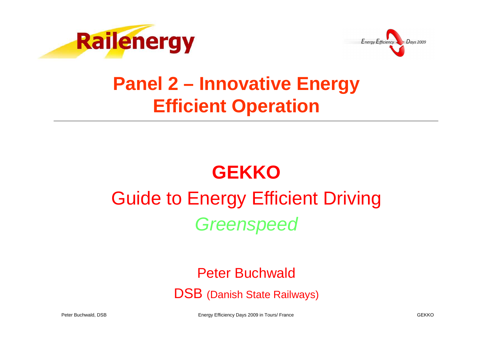



## **Panel 2 – Innovative EnergyEfficient Operation**

# **GEKKO**

# Guide to Energy Efficient Driving**Greenspeed**

#### Peter Buchwald

DSB (Danish State Railways)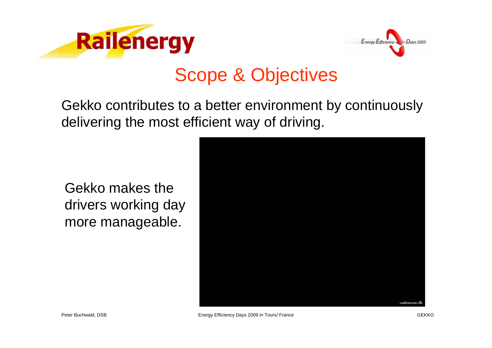



### Scope & Objectives

Gekko contributes to a better environment by continuously delivering the most efficient way of driving.

Gekko makes the drivers working day more manageable.

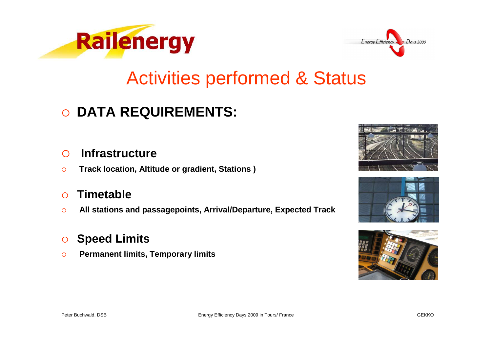



#### Activities performed & Status

## **DATA REQUIREMENTS:**

#### $\bigcap$ **Infrastructure**

 $\circ$ **Track location, Altitude or gradient, Stations )**

#### $\bigcap$ **Timetable**

 $\circ$ **All stations and passagepoints, Arrival/Departure, Expected Track**

#### $\circ$ **Speed Limits**

 $\circ$ **Permanent limits, Temporary limits**





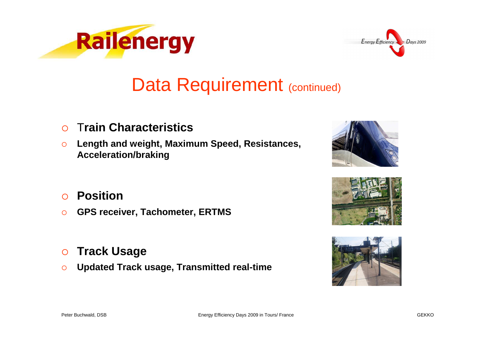



### Data Requirement (continued)

- $\Omega$ <sup>T</sup>**rain Characteristics**
- $\circ$  **Length and weight, Maximum Speed, Resistances, Acceleration/braking**



- $\Omega$ **Position**
- $\circ$ **GPS receiver, Tachometer, ERTMS**
- $\circ$ **Track Usage**
- $\circ$ **Updated Track usage, Transmitted real-time**



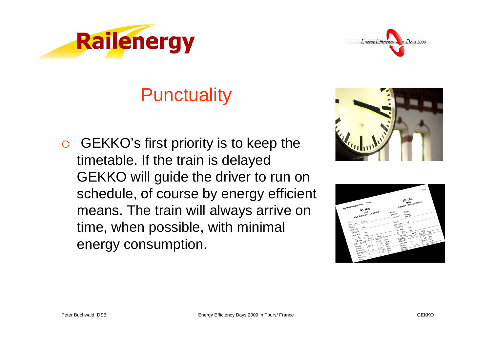



## **Punctuality**

 $\overline{O}$  GEKKO's first priority is to keep the timetable. If the train is delayed GEKKO will guide the driver to run on schedule, of course by energy efficient means. The train will always arrive on time, when possible, with minimal energy consumption.



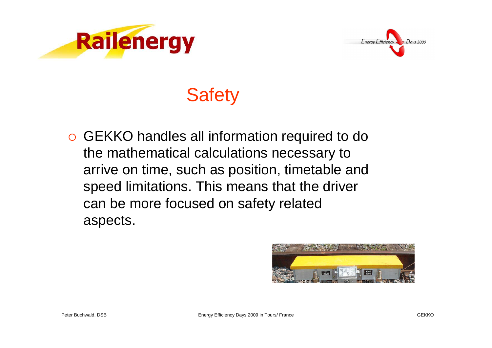



# **Safety**

 GEKKO handles all information required to do the mathematical calculations necessary to arrive on time, such as position, timetable and speed limitations. This means that the driver can be more focused on safety related aspects.

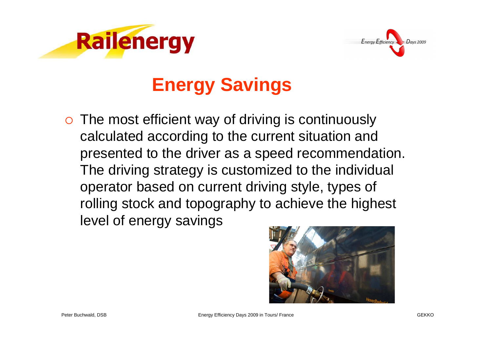



## **Energy Savings**

o The most efficient way of driving is continuously calculated according to the current situation and presented to the driver as a speed recommendation. The driving strategy is customized to the individual operator based on current driving style, types of rolling stock and topography to achieve the highestlevel of energy savings

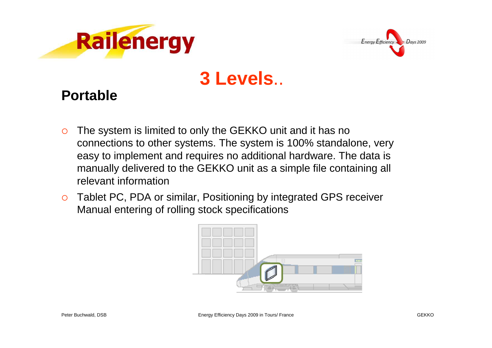



### **3 Levels**..

#### **Portable**

- $\circ$  The system is limited to only the GEKKO unit and it has no connections to other systems. The system is 100% standalone, very easy to implement and requires no additional hardware. The data is manually delivered to the GEKKO unit as a simple file containing all relevant information
- $\circ$  Tablet PC, PDA or similar, Positioning by integrated GPS receiver Manual entering of rolling stock specifications

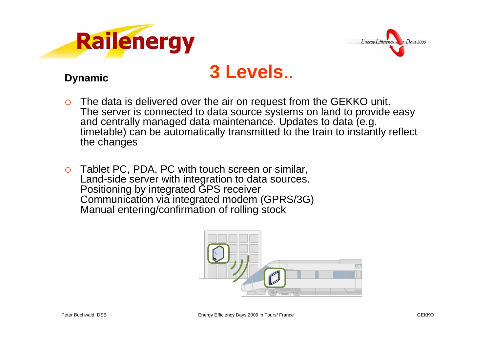



#### **3 Levels**..

#### **Dynamic**

- O The data is delivered over the air on request from the GEKKO unit. The server is connected to data source systems on land to provide easy and centrally managed data maintenance. Updates to data (e.g. timetable) can be automatically transmitted to the train to instantly reflect the changes
- $\Omega$  Tablet PC, PDA, PC with touch screen or similar, Land-side server with integration to data sources. Positioning by integrated GPS receiver Communication via integrated modem (GPRS/3G)Manual entering/confirmation of rolling stock

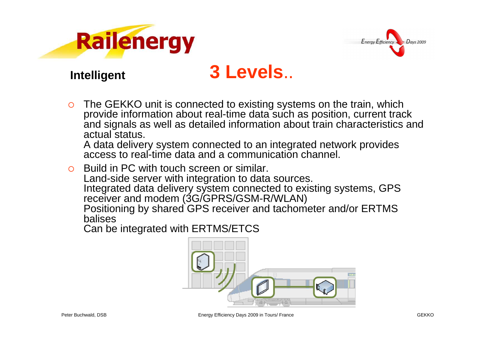



#### **Intelligent**

#### **3 Levels**..

 $\circ$  The GEKKO unit is connected to existing systems on the train, which provide information about real-time data such as position, current track and signals as well as detailed information about train characteristics and actual status.

 A data delivery system connected to an integrated network provides access to real-time data and a communication channel.

O Build in PC with touch screen or similar. Land-side server with integration to data sources. Integrated data delivery system connected to existing systems, GPS receiver and modem (3G/GPRS/GSM-R/WLAN) Positioning by shared GPS receiver and tachometer and/or ERTMS balises

Can be integrated with ERTMS/ETCS

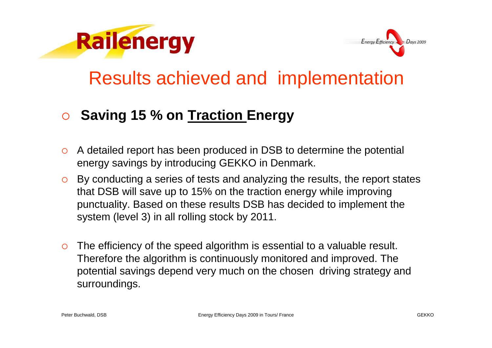



#### Results achieved and implementation

#### $\bigcirc$ **Saving 15 % on Traction Energy**

- o A detailed report has been produced in DSB to determine the potential energy savings by introducing GEKKO in Denmark.
- By conducting a series of tests and analyzing the results, the report states that DSB will save up to 15% on the traction energy while improving punctuality. Based on these results DSB has decided to implement the system (level 3) in all rolling stock by 2011.
- $\circ$  The efficiency of the speed algorithm is essential to a valuable result. Therefore the algorithm is continuously monitored and improved. The potential savings depend very much on the chosen driving strategy and surroundings.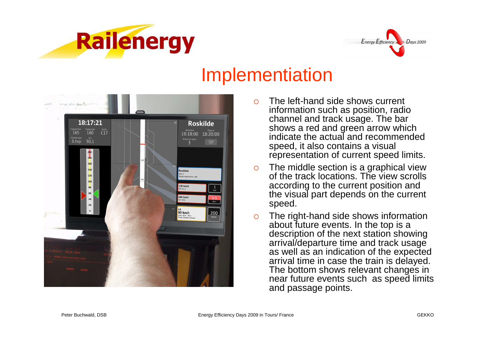



#### Implementiation



- О The left-hand side shows current information such as position, radio channel and track usage. The bar shows a red and green arrow which indicate the actual and recommended speed, it also contains a visual representation of current speed limits.
- $\circ$  The middle section is a graphical view of the track locations. The view scrolls according to the current position and the visual part depends on the current speed.
- $\circ$  The right-hand side shows information about future events. In the top is a description of the next station showing arrival/departure time and track usage as well as an indication of the expected arrival time in case the train is delayed. The bottom shows relevant changes in near future events such as speed limits and passage points.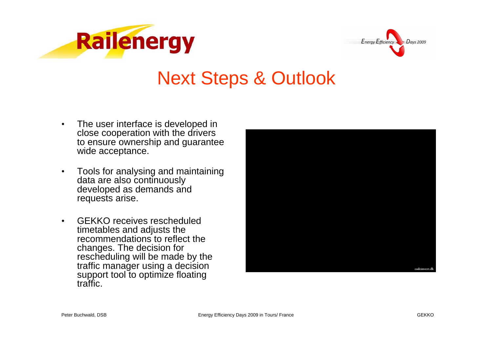



#### Next Steps & Outlook

- • The user interface is developed in close cooperation with the drivers to ensure ownership and guarantee wide acceptance.
- $\bullet$  Tools for analysing and maintaining data are also continuously developed as demands and requests arise.
- • GEKKO receives rescheduled timetables and adjusts the recommendations to reflect the changes. The decision for rescheduling will be made by the traffic manager using a decision support tool to optimize floating traffic.